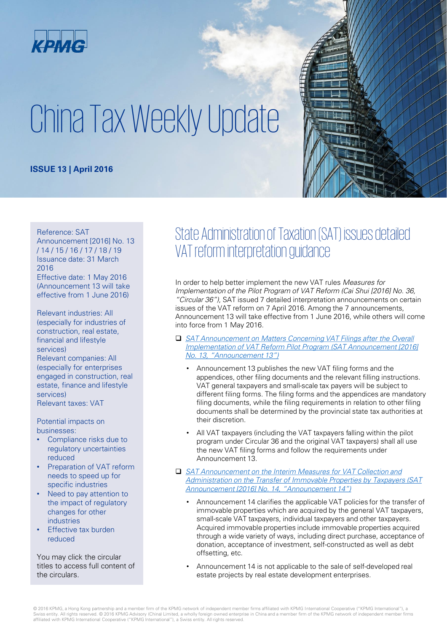

# China Tax Weekly Update

#### **ISSUE 13 | April 2016**

#### Reference: SAT

Announcement [2016] No. 13 / 14 / 15 / 16 / 17 / 18 / 19 Issuance date: 31 March 2016 Effective date: 1 May 2016 (Announcement 13 will take

effective from 1 June 2016)

Relevant industries: All (especially for industries of construction, real estate, financial and lifestyle services) Relevant companies: All (especially for enterprises engaged in construction, real estate, finance and lifestyle services) Relevant taxes: VAT

Potential impacts on businesses:

- Compliance risks due to regulatory uncertainties reduced
- Preparation of VAT reform needs to speed up for specific industries
- Need to pay attention to the impact of regulatory changes for other industries
- **Effective tax burden** reduced

You may click the circular titles to access full content of the circulars.

## State Administration of Taxation (SAT) issues detailed VAT reform interpretation guidance

In order to help better implement the new VAT rules *Measures for Implementation of the Pilot Program of VAT Reform (Cai Shui [2016] No. 36, "Circular 36")*, SAT issued 7 detailed interpretation announcements on certain issues of the VAT reform on 7 April 2016. Among the 7 announcements, Announcement 13 will take effective from 1 June 2016, while others will come into force from 1 May 2016.

- □ *SAT Announcement on Matters Concerning VAT Filings after the Overall* **Implementation of VAT Reform Pilot Program (SAT Announcement [2016]** *No. 13, "Announcement 13")*
	- Announcement 13 publishes the new VAT filing forms and the appendices, other filing documents and the relevant filling instructions. VAT general taxpayers and small-scale tax payers will be subject to different filing forms. The filing forms and the appendices are mandatory filing documents, while the filing requirements in relation to other filing documents shall be determined by the provincial state tax authorities at their discretion.
	- All VAT taxpayers (including the VAT taxpayers falling within the pilot program under Circular 36 and the original VAT taxpayers) shall all use the new VAT filing forms and follow the requirements under Announcement 13.
- *SAT Announcement on the Interim Measures for VAT Collection and [Administration on the Transfer of Immovable Properties by Taxpayers \(SAT](http://www.chinatax.gov.cn/n810341/n810755/c2061553/content.html)  Announcement [2016] No. 14, "Announcement 14")*
	- Announcement 14 clarifies the applicable VAT policies for the transfer of immovable properties which are acquired by the general VAT taxpayers, small-scale VAT taxpayers, individual taxpayers and other taxpayers. Acquired immovable properties include immovable properties acquired through a wide variety of ways, including direct purchase, acceptance of donation, acceptance of investment, self-constructed as well as debt offsetting, etc.
	- Announcement 14 is not applicable to the sale of self-developed real estate projects by real estate development enterprises.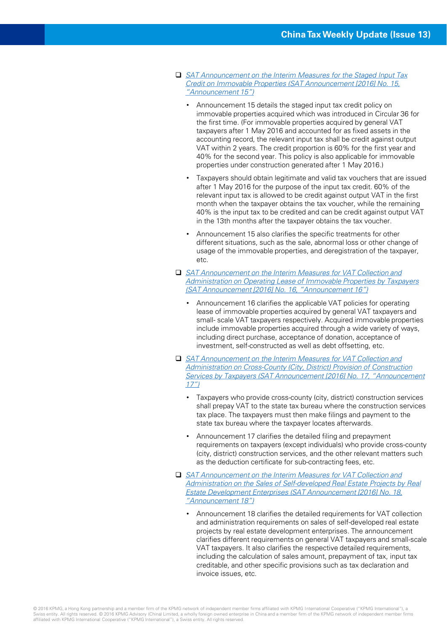- *[SAT Announcement on the Interim Measures for the Staged Input Tax](http://www.chinatax.gov.cn/n810341/n810755/c2061806/content.html)  Credit on Immovable Properties (SAT Announcement [2016] No. 15, "Announcement 15")*
	- Announcement 15 details the staged input tax credit policy on immovable properties acquired which was introduced in Circular 36 for the first time. (For immovable properties acquired by general VAT taxpayers after 1 May 2016 and accounted for as fixed assets in the accounting record, the relevant input tax shall be credit against output VAT within 2 years. The credit proportion is 60% for the first year and 40% for the second year. This policy is also applicable for immovable properties under construction generated after 1 May 2016.)
	- Taxpayers should obtain legitimate and valid tax vouchers that are issued after 1 May 2016 for the purpose of the input tax credit. 60% of the relevant input tax is allowed to be credit against output VAT in the first month when the taxpayer obtains the tax voucher, while the remaining 40% is the input tax to be credited and can be credit against output VAT in the 13th months after the taxpayer obtains the tax voucher.
	- Announcement 15 also clarifies the specific treatments for other different situations, such as the sale, abnormal loss or other change of usage of the immovable properties, and deregistration of the taxpayer, etc.
- SAT Announcement on the Interim Measures for VAT Collection and *[Administration on Operating Lease of Immovable Properties by Taxpayers](http://www.chinatax.gov.cn/n810341/n810755/c2062130/content.html) (SAT Announcement [2016] No. 16, "Announcement 16")*
	- Announcement 16 clarifies the applicable VAT policies for operating lease of immovable properties acquired by general VAT taxpayers and small- scale VAT taxpayers respectively. Acquired immovable properties include immovable properties acquired through a wide variety of ways, including direct purchase, acceptance of donation, acceptance of investment, self-constructed as well as debt offsetting, etc.
- □ *SAT Announcement on the Interim Measures for VAT Collection and Administration on Cross-County (City, District) Provision of Construction [Services by Taxpayers \(SAT Announcement \[2016\] No. 17, "Announcement](http://www.chinatax.gov.cn/n810341/n810755/c2061911/content.html)  17")*
	- Taxpayers who provide cross-county (city, district) construction services shall prepay VAT to the state tax bureau where the construction services tax place. The taxpayers must then make filings and payment to the state tax bureau where the taxpayer locates afterwards.
	- Announcement 17 clarifies the detailed filing and prepayment requirements on taxpayers (except individuals) who provide cross-county (city, district) construction services, and the other relevant matters such as the deduction certificate for sub-contracting fees, etc.
- SAT Announcement on the Interim Measures for VAT Collection and *[Administration on the Sales of Self-developed Real Estate Projects by Real](http://www.chinatax.gov.cn/n810341/n810755/c2062196/content.html)  Estate Development Enterprises (SAT Announcement [2016] No. 18, "Announcement 18")*
	- Announcement 18 clarifies the detailed requirements for VAT collection and administration requirements on sales of self-developed real estate projects by real estate development enterprises. The announcement clarifies different requirements on general VAT taxpayers and small-scale VAT taxpayers. It also clarifies the respective detailed requirements, including the calculation of sales amount, prepayment of tax, input tax creditable, and other specific provisions such as tax declaration and invoice issues, etc.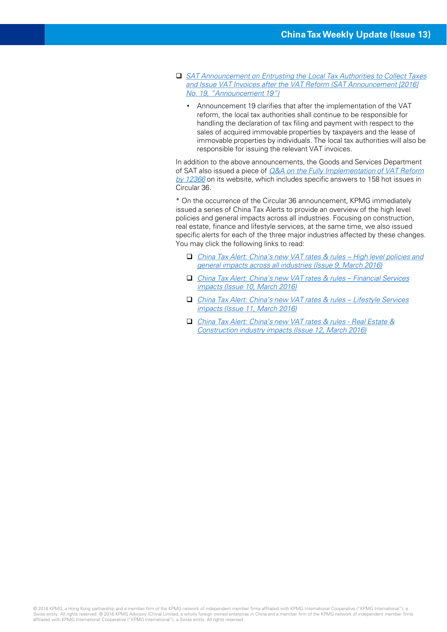- *SAT Announcement on Entrusting the Local Tax Authorities to Collect Taxes [and Issue VAT Invoices after the VAT Reform \(SAT Announcement \[2016\]](http://www.chinatax.gov.cn/n810341/n810755/c2062250/content.html)  No. 19, "Announcement 19")*
	- Announcement 19 clarifies that after the implementation of the VAT reform, the local tax authorities shall continue to be responsible for handling the declaration of tax filing and payment with respect to the sales of acquired immovable properties by taxpayers and the lease of immovable properties by individuals. The local tax authorities will also be responsible for issuing the relevant VAT invoices.

In addition to the above announcements, the Goods and Services Department of SAT also issued a piece of *Q&A on the Fully Implementation of VAT Reform by 12366* [on its website, which includes specific answers to 158 hot issues in](http://www.chinatax.gov.cn/n810219/n810744/n2048831/c2055484/content.html)  Circular 36.

\* On the occurrence of the Circular 36 announcement, KPMG immediately issued a series of China Tax Alerts to provide an overview of the high level policies and general impacts across all industries. Focusing on construction, real estate, finance and lifestyle services, at the same time, we also issued specific alerts for each of the three major industries affected by these changes. You may click the following links to read:

- *China Tax Alert: China's new VAT rates & rules – High level policies and [general impacts across all industries \(Issue 9, March 2016\)](http://www.kpmg.com/CN/en/IssuesAndInsights/ArticlesPublications/Newsletters/ChinaAlerts/Pages/china-tax-alert-09-vat-implementation-rules.aspx)*
- □ *[China Tax Alert: China's new VAT rates & rules](http://www.kpmg.com/CN/en/IssuesAndInsights/ArticlesPublications/Newsletters/ChinaAlerts/Pages/china-tax-alert-10-implementation-rules-fs-insurance.aspx)  Financial Services impacts (Issue 10, March 2016)*
- *[China Tax Alert: China's new VAT rates & rules –](http://www.kpmg.com/CN/en/IssuesAndInsights/ArticlesPublications/Newsletters/ChinaAlerts/Pages/china-tax-alert-11-implementation-rules-lifestyle-services.aspx) Lifestyle Services impacts (Issue 11, March 2016)*
- □ China Tax Alert: China's new VAT rates & rules Real Estate & *[Construction industry impacts \(Issue 12, March 2016\)](http://www.kpmg.com/CN/en/IssuesAndInsights/ArticlesPublications/Newsletters/ChinaAlerts/Pages/china-tax-alert-12-china-vat-reform-policy.aspx)*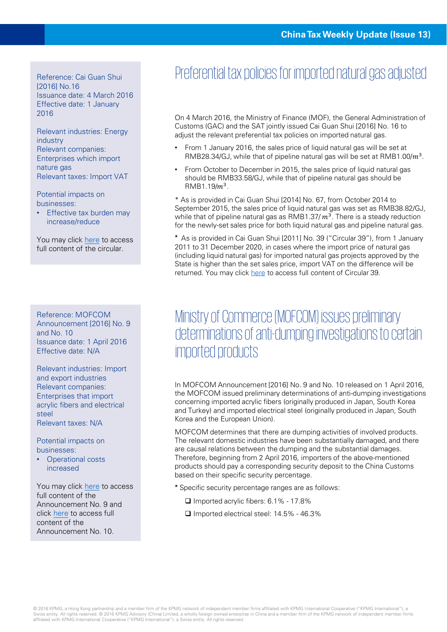Reference: Cai Guan Shui [2016] No.16 Issuance date: 4 March 2016 Effective date: 1 January 2016

Relevant industries: Energy industry Relevant companies: Enterprises which import nature gas Relevant taxes: Import VAT

Potential impacts on businesses:

• Effective tax burden may increase/reduce

You may click [here](http://gss.mof.gov.cn/zhengwuxinxi/zhengcefabu/201604/t20160404_1935667.html) to access full content of the circular.

Reference: MOFCOM Announcement [2016] No. 9 and No. 10 Issuance date: 1 April 2016 Effective date: N/A

Relevant industries: Import and export industries Relevant companies: Enterprises that import acrylic fibers and electrical steel Relevant taxes: N/A

Potential impacts on businesses:

• Operational costs increased

You may click [here](http://www.mofcom.gov.cn/article/b/e/201604/20160401287945.shtml) to access full content of the Announcement No. 9 and click [here](http://www.mofcom.gov.cn/article/b/c/201604/20160401288045.shtml) to access full content of the Announcement No. 10.

## Preferential tax policies for imported natural gas adjusted

On 4 March 2016, the Ministry of Finance (MOF), the General Administration of Customs (GAC) and the SAT jointly issued Cai Guan Shui [2016] No. 16 to adjust the relevant preferential tax policies on imported natural gas.

- From 1 January 2016, the sales price of liquid natural gas will be set at RMB28.34/GJ, while that of pipeline natural gas will be set at RMB1.00/ $m^3$ .
- From October to December in 2015, the sales price of liquid natural gas should be RMB33.58/GJ, while that of pipeline natural gas should be  $RMB1.19/m<sup>3</sup>$ .

\* As is provided in Cai Guan Shui [2014] No. 67, from October 2014 to September 2015, the sales price of liquid natural gas was set as RMB38.82/GJ, while that of pipeline natural gas as RMB1.37/ $m^3$ . There is a steady reduction for the newly-set sales price for both liquid natural gas and pipeline natural gas.

\* As is provided in Cai Guan Shui [2011] No. 39 ("Circular 39"), from 1 January 2011 to 31 December 2020, in cases where the import price of natural gas (including liquid natural gas) for imported natural gas projects approved by the State is higher than the set sales price, import VAT on the difference will be returned. You may click [here](http://www.chinatax.gov.cn/2013/n1586/n1593/n1711/n1716/c72378/content.html) to access full content of Circular 39.

#### Ministry of Commerce (MOFCOM) issues preliminary determinations of anti-dumping investigations to certain imported products

In MOFCOM Announcement [2016] No. 9 and No. 10 released on 1 April 2016, the MOFCOM issued preliminary determinations of anti-dumping investigations concerning imported acrylic fibers (originally produced in Japan, South Korea and Turkey) and imported electrical steel (originally produced in Japan, South Korea and the European Union).

MOFCOM determines that there are dumping activities of involved products. The relevant domestic industries have been substantially damaged, and there are causal relations between the dumping and the substantial damages. Therefore, beginning from 2 April 2016, importers of the above-mentioned products should pay a corresponding security deposit to the China Customs based on their specific security percentage.

Specific security percentage ranges are as follows:

- $\Box$  Imported acrylic fibers: 6.1% 17.8%
- □ Imported electrical steel: 14.5% 46.3%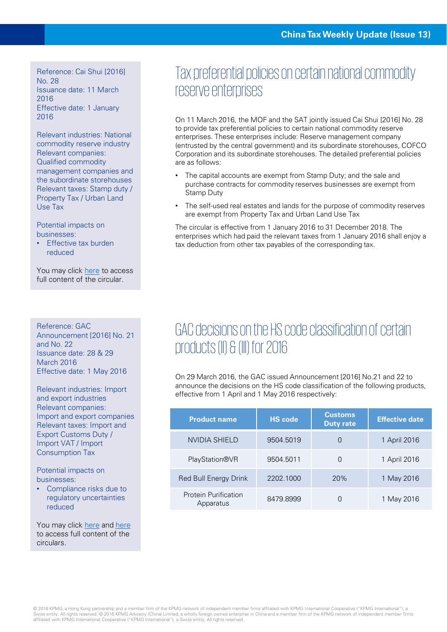Reference: Cai Shui [2016] No. 28 Issuance date: 11 March 2016 Effective date: 1 January 2016

Relevant industries: National commodity reserve industry Relevant companies: Qualified commodity management companies and the subordinate storehouses Relevant taxes: Stamp duty / Property Tax / Urban Land Use Tax

Potential impacts on businesses:

**Effective tax burden** reduced

You may click [here](http://szs.mof.gov.cn/zhengwuxinxi/zhengcefabu/201604/t20160406_1938541.html) to access full content of the circular.

Reference: GAC Announcement [2016] No. 21 and  $No$  22 Issuance date: 28 & 29 March 2016 Effective date: 1 May 2016

Relevant industries: Import and export industries Relevant companies: Import and export companies Relevant taxes: Import and Export Customs Duty / Import VAT / Import Consumption Tax

Potential impacts on businesses:

Compliance risks due to regulatory uncertainties reduced

You may click [here](http://www.customs.gov.cn/publish/portal0/tab49564/info792597.htm) and [here](http://www.customs.gov.cn/publish/portal0/tab49661/info792562.htm) to access full content of the circulars.

## Tax preferential policies on certain national commodity reserve enterprises

On 11 March 2016, the MOF and the SAT jointly issued Cai Shui [2016] No. 28 to provide tax preferential policies to certain national commodity reserve enterprises. These enterprises include: Reserve management company (entrusted by the central government) and its subordinate storehouses, COFCO Corporation and its subordinate storehouses. The detailed preferential policies are as follows:

- The capital accounts are exempt from Stamp Duty; and the sale and purchase contracts for commodity reserves businesses are exempt from Stamp Duty
- The self-used real estates and lands for the purpose of commodity reserves are exempt from Property Tax and Urban Land Use Tax

The circular is effective from 1 January 2016 to 31 December 2018. The enterprises which had paid the relevant taxes from 1 January 2016 shall enjoy a tax deduction from other tax payables of the corresponding tax.

## GAC decisions on the HS code classification of certain products (II) & (III) for 2016

On 29 March 2016, the GAC issued Announcement [2016] No.21 and 22 to announce the decisions on the HS code classification of the following products, effective from 1 April and 1 May 2016 respectively:

| <b>Product name</b>                      | <b>HS</b> code | <b>Customs</b><br><b>Duty rate</b> | <b>Effective date</b> |
|------------------------------------------|----------------|------------------------------------|-----------------------|
| NVIDIA SHIELD                            | 9504.5019      | O                                  | 1 April 2016          |
| <b>PlayStation®VR</b>                    | 9504.5011      | 0                                  | 1 April 2016          |
| Red Bull Energy Drink                    | 2202.1000      | 20%                                | 1 May 2016            |
| <b>Protein Purification</b><br>Apparatus | 8479.8999      |                                    | 1 May 2016            |